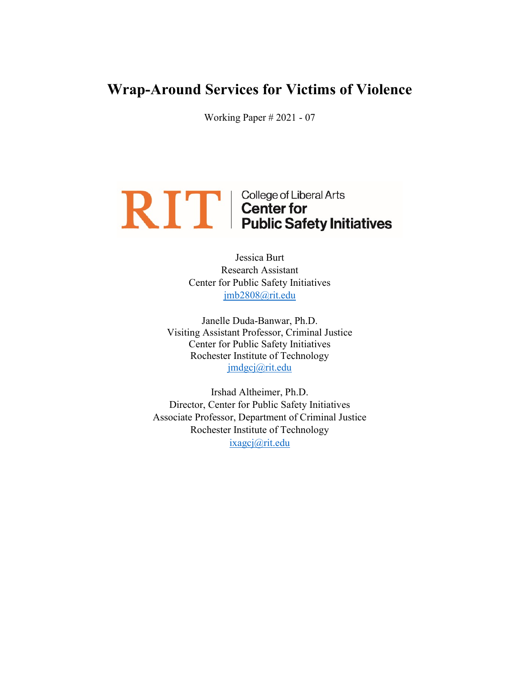## Wrap-Around Services for Victims of Violence

Working Paper # 2021 - 07

# **RIFE** college of Liberal Arts<br> **REFERENT** Center for<br>
Public Safety Initiatives

Jessica Burt Research Assistant Center for Public Safety Initiatives jmb2808@rit.edu

Janelle Duda-Banwar, Ph.D. Visiting Assistant Professor, Criminal Justice Center for Public Safety Initiatives Rochester Institute of Technology jmdgcj@rit.edu

Irshad Altheimer, Ph.D. Director, Center for Public Safety Initiatives Associate Professor, Department of Criminal Justice Rochester Institute of Technology ixagcj@rit.edu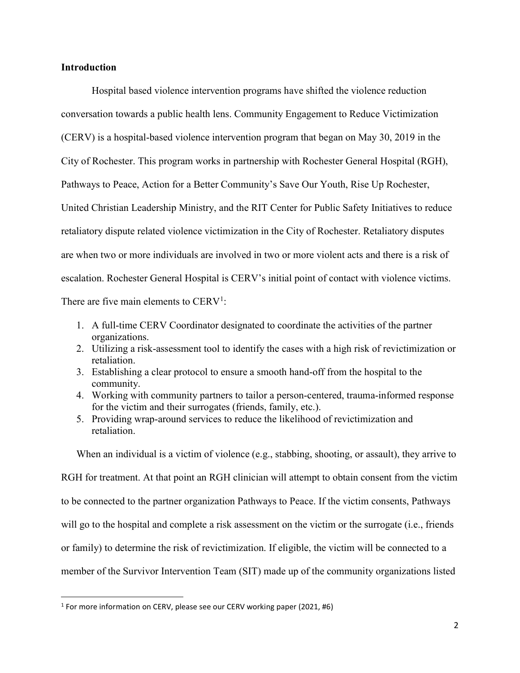### **Introduction**

 Hospital based violence intervention programs have shifted the violence reduction conversation towards a public health lens. Community Engagement to Reduce Victimization (CERV) is a hospital-based violence intervention program that began on May 30, 2019 in the City of Rochester. This program works in partnership with Rochester General Hospital (RGH), Pathways to Peace, Action for a Better Community's Save Our Youth, Rise Up Rochester, United Christian Leadership Ministry, and the RIT Center for Public Safety Initiatives to reduce retaliatory dispute related violence victimization in the City of Rochester. Retaliatory disputes are when two or more individuals are involved in two or more violent acts and there is a risk of escalation. Rochester General Hospital is CERV's initial point of contact with violence victims. There are five main elements to  $CERV<sup>1</sup>$ :

- 1. A full-time CERV Coordinator designated to coordinate the activities of the partner organizations.
- 2. Utilizing a risk-assessment tool to identify the cases with a high risk of revictimization or retaliation.
- 3. Establishing a clear protocol to ensure a smooth hand-off from the hospital to the community.
- 4. Working with community partners to tailor a person-centered, trauma-informed response for the victim and their surrogates (friends, family, etc.).
- 5. Providing wrap-around services to reduce the likelihood of revictimization and retaliation.

When an individual is a victim of violence (e.g., stabbing, shooting, or assault), they arrive to

RGH for treatment. At that point an RGH clinician will attempt to obtain consent from the victim to be connected to the partner organization Pathways to Peace. If the victim consents, Pathways will go to the hospital and complete a risk assessment on the victim or the surrogate (i.e., friends or family) to determine the risk of revictimization. If eligible, the victim will be connected to a member of the Survivor Intervention Team (SIT) made up of the community organizations listed

<sup>&</sup>lt;sup>1</sup> For more information on CERV, please see our CERV working paper (2021, #6)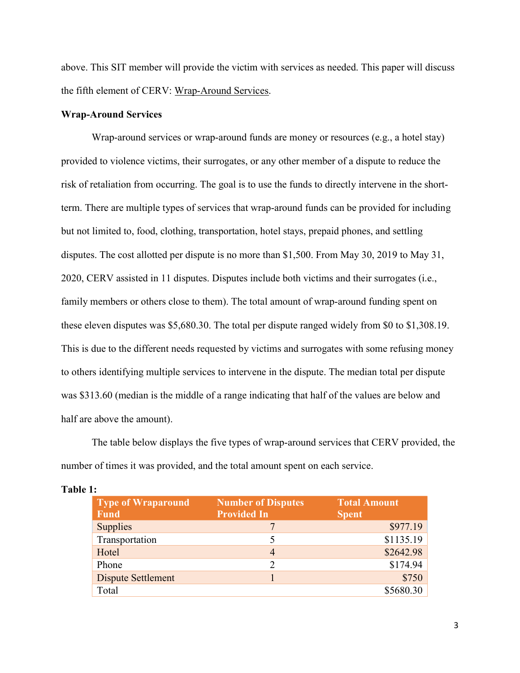above. This SIT member will provide the victim with services as needed. This paper will discuss the fifth element of CERV: Wrap-Around Services.

#### Wrap-Around Services

Wrap-around services or wrap-around funds are money or resources (e.g., a hotel stay) provided to violence victims, their surrogates, or any other member of a dispute to reduce the risk of retaliation from occurring. The goal is to use the funds to directly intervene in the shortterm. There are multiple types of services that wrap-around funds can be provided for including but not limited to, food, clothing, transportation, hotel stays, prepaid phones, and settling disputes. The cost allotted per dispute is no more than \$1,500. From May 30, 2019 to May 31, 2020, CERV assisted in 11 disputes. Disputes include both victims and their surrogates (i.e., family members or others close to them). The total amount of wrap-around funding spent on these eleven disputes was \$5,680.30. The total per dispute ranged widely from \$0 to \$1,308.19. This is due to the different needs requested by victims and surrogates with some refusing money to others identifying multiple services to intervene in the dispute. The median total per dispute was \$313.60 (median is the middle of a range indicating that half of the values are below and half are above the amount).

The table below displays the five types of wrap-around services that CERV provided, the number of times it was provided, and the total amount spent on each service.

| <b>Type of Wraparound</b><br><b>Fund</b> | <b>Number of Disputes</b><br><b>Provided In</b> | <b>Total Amount</b><br><b>Spent</b> |
|------------------------------------------|-------------------------------------------------|-------------------------------------|
| <b>Supplies</b>                          |                                                 | \$977.19                            |
| Transportation                           |                                                 | \$1135.19                           |
| Hotel                                    | 4                                               | \$2642.98                           |
| Phone                                    | 2                                               | \$174.94                            |
| <b>Dispute Settlement</b>                |                                                 | \$750                               |
| Total                                    |                                                 | \$5680.30                           |

#### Table 1: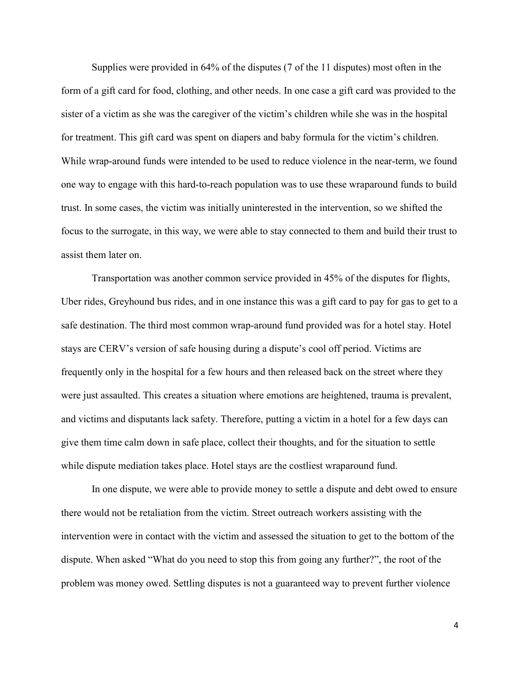Supplies were provided in 64% of the disputes (7 of the 11 disputes) most often in the form of a gift card for food, clothing, and other needs. In one case a gift card was provided to the sister of a victim as she was the caregiver of the victim's children while she was in the hospital for treatment. This gift card was spent on diapers and baby formula for the victim's children. While wrap-around funds were intended to be used to reduce violence in the near-term, we found one way to engage with this hard-to-reach population was to use these wraparound funds to build trust. In some cases, the victim was initially uninterested in the intervention, so we shifted the focus to the surrogate, in this way, we were able to stay connected to them and build their trust to assist them later on.

Transportation was another common service provided in 45% of the disputes for flights, Uber rides, Greyhound bus rides, and in one instance this was a gift card to pay for gas to get to a safe destination. The third most common wrap-around fund provided was for a hotel stay. Hotel stays are CERV's version of safe housing during a dispute's cool off period. Victims are frequently only in the hospital for a few hours and then released back on the street where they were just assaulted. This creates a situation where emotions are heightened, trauma is prevalent, and victims and disputants lack safety. Therefore, putting a victim in a hotel for a few days can give them time calm down in safe place, collect their thoughts, and for the situation to settle while dispute mediation takes place. Hotel stays are the costliest wraparound fund.

In one dispute, we were able to provide money to settle a dispute and debt owed to ensure there would not be retaliation from the victim. Street outreach workers assisting with the intervention were in contact with the victim and assessed the situation to get to the bottom of the dispute. When asked "What do you need to stop this from going any further?", the root of the problem was money owed. Settling disputes is not a guaranteed way to prevent further violence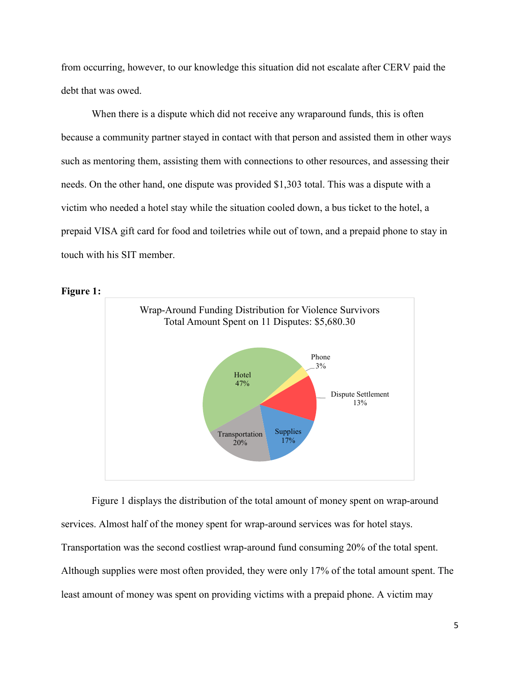from occurring, however, to our knowledge this situation did not escalate after CERV paid the debt that was owed.

When there is a dispute which did not receive any wraparound funds, this is often because a community partner stayed in contact with that person and assisted them in other ways such as mentoring them, assisting them with connections to other resources, and assessing their needs. On the other hand, one dispute was provided \$1,303 total. This was a dispute with a victim who needed a hotel stay while the situation cooled down, a bus ticket to the hotel, a prepaid VISA gift card for food and toiletries while out of town, and a prepaid phone to stay in touch with his SIT member.



Figure 1:

Figure 1 displays the distribution of the total amount of money spent on wrap-around services. Almost half of the money spent for wrap-around services was for hotel stays. Transportation was the second costliest wrap-around fund consuming 20% of the total spent. Although supplies were most often provided, they were only 17% of the total amount spent. The least amount of money was spent on providing victims with a prepaid phone. A victim may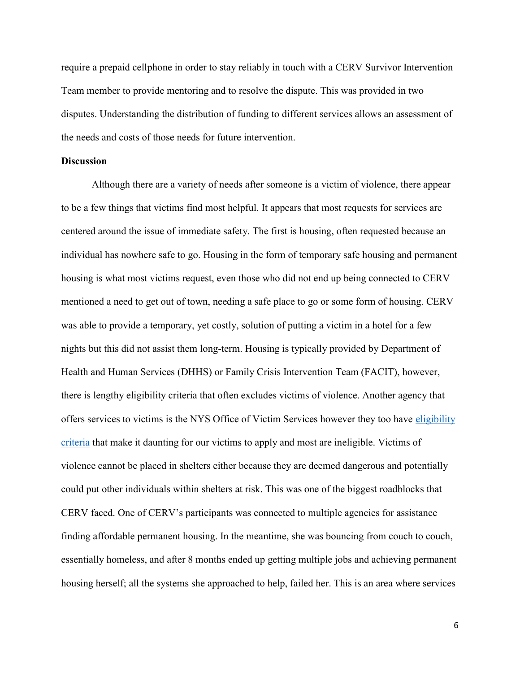require a prepaid cellphone in order to stay reliably in touch with a CERV Survivor Intervention Team member to provide mentoring and to resolve the dispute. This was provided in two disputes. Understanding the distribution of funding to different services allows an assessment of the needs and costs of those needs for future intervention.

#### **Discussion**

 Although there are a variety of needs after someone is a victim of violence, there appear to be a few things that victims find most helpful. It appears that most requests for services are centered around the issue of immediate safety. The first is housing, often requested because an individual has nowhere safe to go. Housing in the form of temporary safe housing and permanent housing is what most victims request, even those who did not end up being connected to CERV mentioned a need to get out of town, needing a safe place to go or some form of housing. CERV was able to provide a temporary, yet costly, solution of putting a victim in a hotel for a few nights but this did not assist them long-term. Housing is typically provided by Department of Health and Human Services (DHHS) or Family Crisis Intervention Team (FACIT), however, there is lengthy eligibility criteria that often excludes victims of violence. Another agency that offers services to victims is the NYS Office of Victim Services however they too have eligibility criteria that make it daunting for our victims to apply and most are ineligible. Victims of violence cannot be placed in shelters either because they are deemed dangerous and potentially could put other individuals within shelters at risk. This was one of the biggest roadblocks that CERV faced. One of CERV's participants was connected to multiple agencies for assistance finding affordable permanent housing. In the meantime, she was bouncing from couch to couch, essentially homeless, and after 8 months ended up getting multiple jobs and achieving permanent housing herself; all the systems she approached to help, failed her. This is an area where services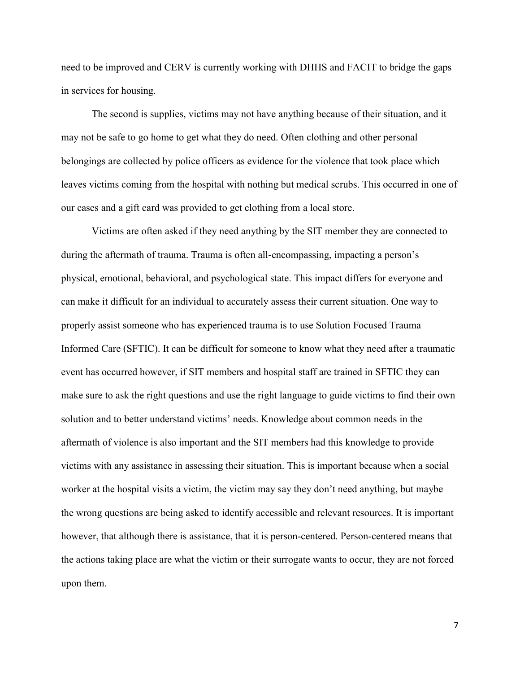need to be improved and CERV is currently working with DHHS and FACIT to bridge the gaps in services for housing.

 The second is supplies, victims may not have anything because of their situation, and it may not be safe to go home to get what they do need. Often clothing and other personal belongings are collected by police officers as evidence for the violence that took place which leaves victims coming from the hospital with nothing but medical scrubs. This occurred in one of our cases and a gift card was provided to get clothing from a local store.

 Victims are often asked if they need anything by the SIT member they are connected to during the aftermath of trauma. Trauma is often all-encompassing, impacting a person's physical, emotional, behavioral, and psychological state. This impact differs for everyone and can make it difficult for an individual to accurately assess their current situation. One way to properly assist someone who has experienced trauma is to use Solution Focused Trauma Informed Care (SFTIC). It can be difficult for someone to know what they need after a traumatic event has occurred however, if SIT members and hospital staff are trained in SFTIC they can make sure to ask the right questions and use the right language to guide victims to find their own solution and to better understand victims' needs. Knowledge about common needs in the aftermath of violence is also important and the SIT members had this knowledge to provide victims with any assistance in assessing their situation. This is important because when a social worker at the hospital visits a victim, the victim may say they don't need anything, but maybe the wrong questions are being asked to identify accessible and relevant resources. It is important however, that although there is assistance, that it is person-centered. Person-centered means that the actions taking place are what the victim or their surrogate wants to occur, they are not forced upon them.

7